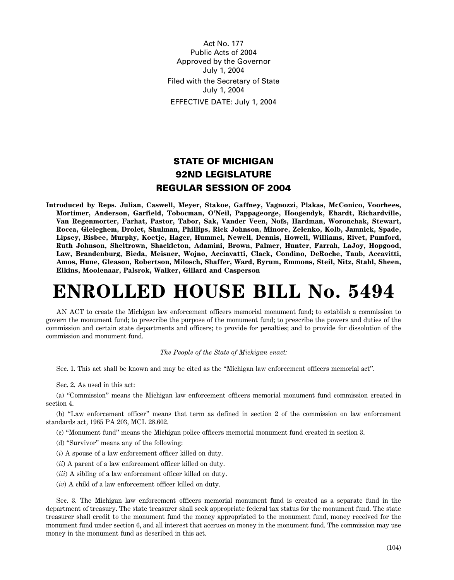Act No. 177 Public Acts of 2004 Approved by the Governor July 1, 2004 Filed with the Secretary of State July 1, 2004 EFFECTIVE DATE: July 1, 2004

## **STATE OF MICHIGAN 92ND LEGISLATURE REGULAR SESSION OF 2004**

**Introduced by Reps. Julian, Caswell, Meyer, Stakoe, Gaffney, Vagnozzi, Plakas, McConico, Voorhees, Mortimer, Anderson, Garfield, Tobocman, O'Neil, Pappageorge, Hoogendyk, Ehardt, Richardville, Van Regenmorter, Farhat, Pastor, Tabor, Sak, Vander Veen, Nofs, Hardman, Woronchak, Stewart, Rocca, Gieleghem, Drolet, Shulman, Phillips, Rick Johnson, Minore, Zelenko, Kolb, Jamnick, Spade, Lipsey, Bisbee, Murphy, Koetje, Hager, Hummel, Newell, Dennis, Howell, Williams, Rivet, Pumford, Ruth Johnson, Sheltrown, Shackleton, Adamini, Brown, Palmer, Hunter, Farrah, LaJoy, Hopgood, Law, Brandenburg, Bieda, Meisner, Wojno, Acciavatti, Clack, Condino, DeRoche, Taub, Accavitti, Amos, Hune, Gleason, Robertson, Milosch, Shaffer, Ward, Byrum, Emmons, Steil, Nitz, Stahl, Sheen, Elkins, Moolenaar, Palsrok, Walker, Gillard and Casperson**

## **ENROLLED HOUSE BILL No. 5494**

AN ACT to create the Michigan law enforcement officers memorial monument fund; to establish a commission to govern the monument fund; to prescribe the purpose of the monument fund; to prescribe the powers and duties of the commission and certain state departments and officers; to provide for penalties; and to provide for dissolution of the commission and monument fund.

## *The People of the State of Michigan enact:*

Sec. 1. This act shall be known and may be cited as the "Michigan law enforcement officers memorial act".

Sec. 2. As used in this act:

(a) "Commission" means the Michigan law enforcement officers memorial monument fund commission created in section 4.

(b) "Law enforcement officer" means that term as defined in section 2 of the commission on law enforcement standards act, 1965 PA 203, MCL 28.602.

(c) "Monument fund" means the Michigan police officers memorial monument fund created in section 3.

- (d) "Survivor" means any of the following:
- (*i*) A spouse of a law enforcement officer killed on duty.
- (*ii*) A parent of a law enforcement officer killed on duty.
- (*iii*) A sibling of a law enforcement officer killed on duty.
- (*iv*) A child of a law enforcement officer killed on duty.

Sec. 3. The Michigan law enforcement officers memorial monument fund is created as a separate fund in the department of treasury. The state treasurer shall seek appropriate federal tax status for the monument fund. The state treasurer shall credit to the monument fund the money appropriated to the monument fund, money received for the monument fund under section 6, and all interest that accrues on money in the monument fund. The commission may use money in the monument fund as described in this act.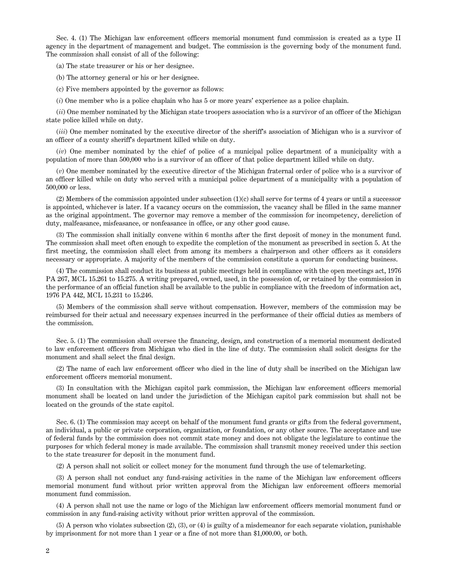Sec. 4. (1) The Michigan law enforcement officers memorial monument fund commission is created as a type II agency in the department of management and budget. The commission is the governing body of the monument fund. The commission shall consist of all of the following:

(a) The state treasurer or his or her designee.

(b) The attorney general or his or her designee.

(c) Five members appointed by the governor as follows:

(*i*) One member who is a police chaplain who has 5 or more years' experience as a police chaplain.

(*ii*) One member nominated by the Michigan state troopers association who is a survivor of an officer of the Michigan state police killed while on duty.

(*iii*) One member nominated by the executive director of the sheriff's association of Michigan who is a survivor of an officer of a county sheriff's department killed while on duty.

(*iv*) One member nominated by the chief of police of a municipal police department of a municipality with a population of more than 500,000 who is a survivor of an officer of that police department killed while on duty.

(*v*) One member nominated by the executive director of the Michigan fraternal order of police who is a survivor of an officer killed while on duty who served with a municipal police department of a municipality with a population of 500,000 or less.

 $(2)$  Members of the commission appointed under subsection  $(1)(c)$  shall serve for terms of 4 years or until a successor is appointed, whichever is later. If a vacancy occurs on the commission, the vacancy shall be filled in the same manner as the original appointment. The governor may remove a member of the commission for incompetency, dereliction of duty, malfeasance, misfeasance, or nonfeasance in office, or any other good cause.

(3) The commission shall initially convene within 6 months after the first deposit of money in the monument fund. The commission shall meet often enough to expedite the completion of the monument as prescribed in section 5. At the first meeting, the commission shall elect from among its members a chairperson and other officers as it considers necessary or appropriate. A majority of the members of the commission constitute a quorum for conducting business.

(4) The commission shall conduct its business at public meetings held in compliance with the open meetings act, 1976 PA 267, MCL 15.261 to 15.275. A writing prepared, owned, used, in the possession of, or retained by the commission in the performance of an official function shall be available to the public in compliance with the freedom of information act, 1976 PA 442, MCL 15.231 to 15.246.

(5) Members of the commission shall serve without compensation. However, members of the commission may be reimbursed for their actual and necessary expenses incurred in the performance of their official duties as members of the commission.

Sec. 5. (1) The commission shall oversee the financing, design, and construction of a memorial monument dedicated to law enforcement officers from Michigan who died in the line of duty. The commission shall solicit designs for the monument and shall select the final design.

(2) The name of each law enforcement officer who died in the line of duty shall be inscribed on the Michigan law enforcement officers memorial monument.

(3) In consultation with the Michigan capitol park commission, the Michigan law enforcement officers memorial monument shall be located on land under the jurisdiction of the Michigan capitol park commission but shall not be located on the grounds of the state capitol.

Sec. 6. (1) The commission may accept on behalf of the monument fund grants or gifts from the federal government, an individual, a public or private corporation, organization, or foundation, or any other source. The acceptance and use of federal funds by the commission does not commit state money and does not obligate the legislature to continue the purposes for which federal money is made available. The commission shall transmit money received under this section to the state treasurer for deposit in the monument fund.

(2) A person shall not solicit or collect money for the monument fund through the use of telemarketing.

(3) A person shall not conduct any fund-raising activities in the name of the Michigan law enforcement officers memorial monument fund without prior written approval from the Michigan law enforcement officers memorial monument fund commission.

(4) A person shall not use the name or logo of the Michigan law enforcement officers memorial monument fund or commission in any fund-raising activity without prior written approval of the commission.

(5) A person who violates subsection (2), (3), or (4) is guilty of a misdemeanor for each separate violation, punishable by imprisonment for not more than 1 year or a fine of not more than \$1,000.00, or both.